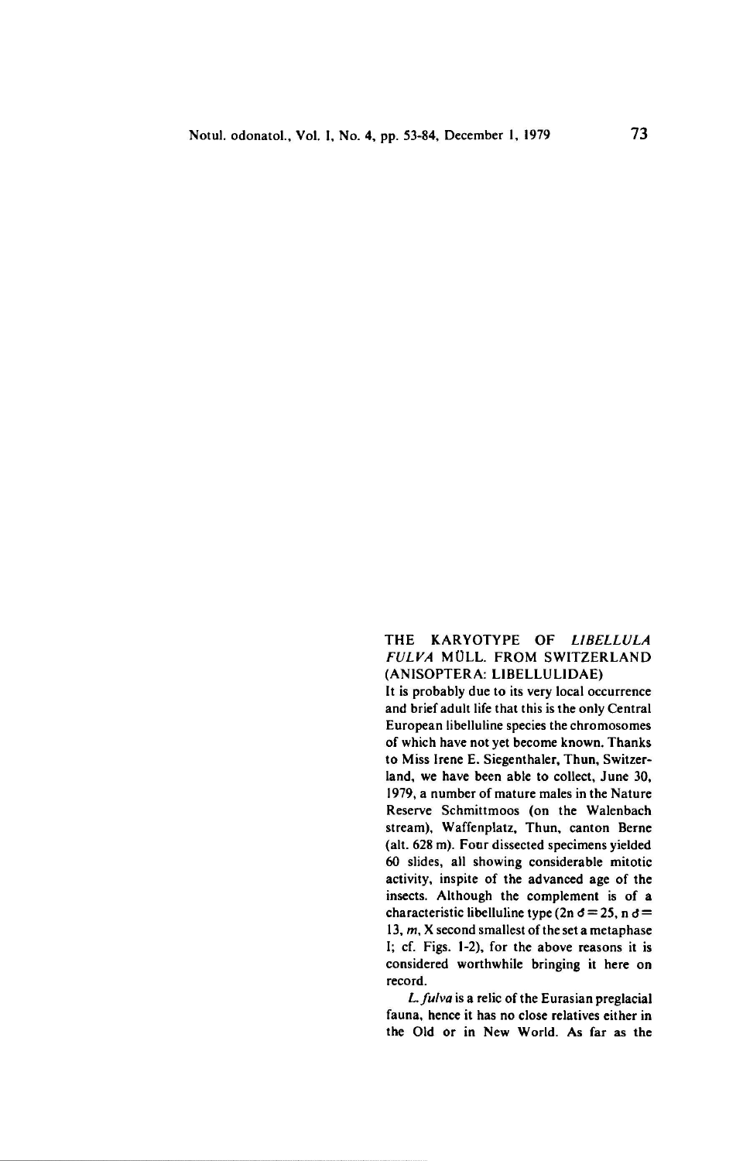## THE KARYOTYPE OF LIBELLULA fulva Müll. from Switzerland (ANISOPTERA: LIBELLULIDAE)

It is probably due to its very local occurrence and brief adult life that this is the only Central European libelluline species the chromosomes of which have not yet become known. Thanks to Miss Irene E. Siegenthaler, Thun, Switzerland. we have been able to collect, June 30, 1979, a number of mature males in the Nature Reserve Schmittmoos (on the Walenbach stream), Waffenplatz, Thun, canton Berne (alt. 628 m). Four dissected specimens yielded 60 slides, all showing considerable mitotic activity, inspite of the advanced age of the insects. Although the complement is of a insects. Although the complement is of a<br>characteristic libelluline type (2n  $\delta = 25$ , n  $\delta =$ 13,  $m$ , X second smallest of the set a metaphase 1; cf. Figs. 1-2), for the above reasons it is considered worthwhile bringing it here on record.

L. fulva is a relic of the Eurasian preglacial fauna, hence it has no close relatives either in the Old or in New World. As far as the